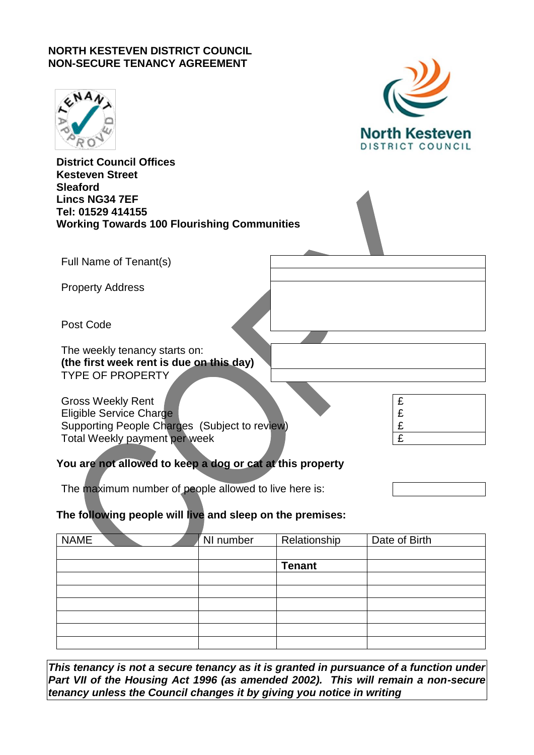# **NORTH KESTEVEN DISTRICT COUNCIL NON-SECURE TENANCY AGREEMENT**

|                                                                                                                                              | <b>North Kesteven</b><br>DISTRICT COUNCIL                                                                                                                                                                                      |
|----------------------------------------------------------------------------------------------------------------------------------------------|--------------------------------------------------------------------------------------------------------------------------------------------------------------------------------------------------------------------------------|
| <b>District Council Offices</b><br><b>Kesteven Street</b><br><b>Sleaford</b><br><b>Lincs NG34 7EF</b><br>Tel: 01529 414155                   |                                                                                                                                                                                                                                |
| <b>Working Towards 100 Flourishing Communities</b>                                                                                           |                                                                                                                                                                                                                                |
| Full Name of Tenant(s)                                                                                                                       |                                                                                                                                                                                                                                |
| <b>Property Address</b>                                                                                                                      |                                                                                                                                                                                                                                |
| Post Code                                                                                                                                    |                                                                                                                                                                                                                                |
| The weekly tenancy starts on:<br>(the first week rent is due on this day)<br><b>TYPE OF PROPERTY</b>                                         |                                                                                                                                                                                                                                |
| <b>Gross Weekly Rent</b><br><b>Eligible Service Charge</b><br>Supporting People Charges (Subject to review)<br>Total Weekly payment per week | ed at the search of the search of the search of the search of the search of the search of the search of the search of the search of the search of the search of the search of the search of the search of the search of the se |
| You are not allowed to keep a dog or cat at this property                                                                                    |                                                                                                                                                                                                                                |

 $\mathcal{L}$ 

# **The following people will live and sleep on the premises:**

The maximum number of people allowed to live here is:

| <b>NAME</b> |  | NI number | Relationship  | Date of Birth |
|-------------|--|-----------|---------------|---------------|
|             |  |           |               |               |
|             |  |           | <b>Tenant</b> |               |
|             |  |           |               |               |
|             |  |           |               |               |
|             |  |           |               |               |
|             |  |           |               |               |
|             |  |           |               |               |
|             |  |           |               |               |

*This tenancy is not a secure tenancy as it is granted in pursuance of a function under Part VII of the Housing Act 1996 (as amended 2002). This will remain a non-secure tenancy unless the Council changes it by giving you notice in writing*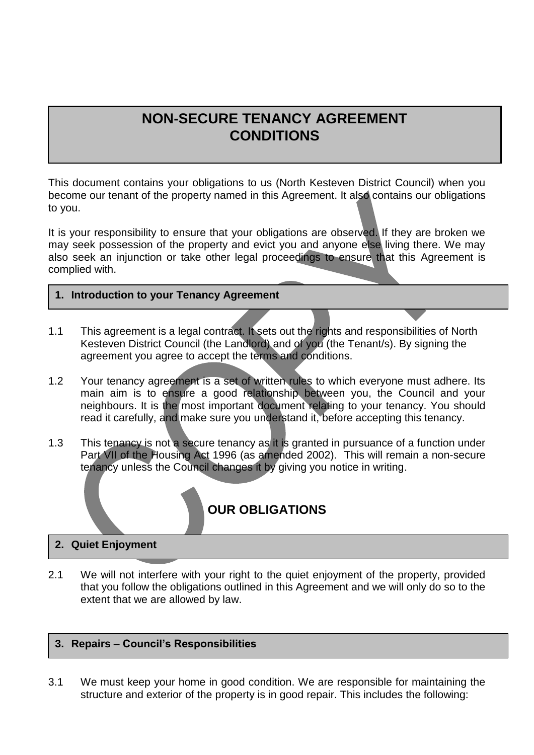# **NON-SECURE TENANCY AGREEMENT CONDITIONS**

This document contains your obligations to us (North Kesteven District Council) when you become our tenant of the property named in this Agreement. It also contains our obligations to you.

It is your responsibility to ensure that your obligations are observed. If they are broken we may seek possession of the property and evict you and anyone else living there. We may also seek an injunction or take other legal proceedings to ensure that this Agreement is complied with.

- **1. Introduction to your Tenancy Agreement**
- 1.1 This agreement is a legal contract. It sets out the rights and responsibilities of North Kesteven District Council (the Landlord) and of you (the Tenant/s). By signing the agreement you agree to accept the terms and conditions.
- 1.2 Your tenancy agreement is a set of written rules to which everyone must adhere. Its main aim is to ensure a good relationship between you, the Council and your neighbours. It is the most important document relating to your tenancy. You should read it carefully, and make sure you understand it, before accepting this tenancy.
- 1.3 This tenancy is not a secure tenancy as it is granted in pursuance of a function under Part VII of the Housing Act 1996 (as amended 2002). This will remain a non-secure tenancy unless the Council changes it by giving you notice in writing.

# **OUR OBLIGATIONS**

# **2. Quiet Enjoyment**

2.1 We will not interfere with your right to the quiet enjoyment of the property, provided that you follow the obligations outlined in this Agreement and we will only do so to the extent that we are allowed by law.

#### **3. Repairs – Council's Responsibilities**

3.1 We must keep your home in good condition. We are responsible for maintaining the structure and exterior of the property is in good repair. This includes the following: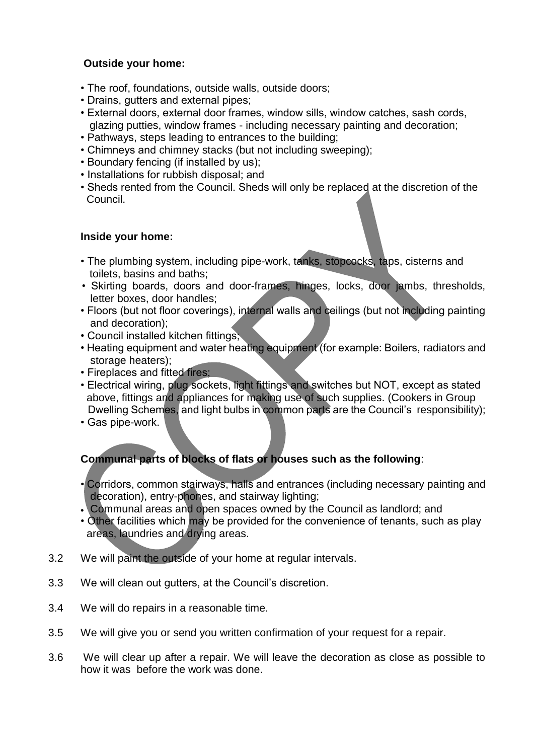# **Outside your home:**

- The roof, foundations, outside walls, outside doors;
- Drains, gutters and external pipes;
- External doors, external door frames, window sills, window catches, sash cords, glazing putties, window frames - including necessary painting and decoration;
- Pathways, steps leading to entrances to the building;
- Chimneys and chimney stacks (but not including sweeping);
- Boundary fencing (if installed by us);
- Installations for rubbish disposal; and
- Sheds rented from the Council. Sheds will only be replaced at the discretion of the Council.

#### **Inside your home:**

- The plumbing system, including pipe-work, tanks, stopcocks, taps, cisterns and toilets, basins and baths;
- Skirting boards, doors and door-frames, hinges, locks, door jambs, thresholds, letter boxes, door handles;
- Floors (but not floor coverings), internal walls and ceilings (but not including painting and decoration);
- Council installed kitchen fittings;
- Heating equipment and water heating equipment (for example: Boilers, radiators and storage heaters);
- Fireplaces and fitted fires;
- Electrical wiring, plug sockets, light fittings and switches but NOT, except as stated above, fittings and appliances for making use of such supplies. (Cookers in Group Dwelling Schemes, and light bulbs in common parts are the Council's responsibility);
- Gas pipe-work.

# **Communal parts of blocks of flats or houses such as the following**:

- Corridors, common stairways, halls and entrances (including necessary painting and decoration), entry-phones, and stairway lighting;
- Communal areas and open spaces owned by the Council as landlord; and
- Other facilities which may be provided for the convenience of tenants, such as play areas, laundries and drying areas.
- 3.2 We will paint the outside of your home at regular intervals.
- 3.3 We will clean out gutters, at the Council's discretion.
- 3.4 We will do repairs in a reasonable time.
- 3.5 We will give you or send you written confirmation of your request for a repair.
- 3.6 We will clear up after a repair. We will leave the decoration as close as possible to how it was before the work was done.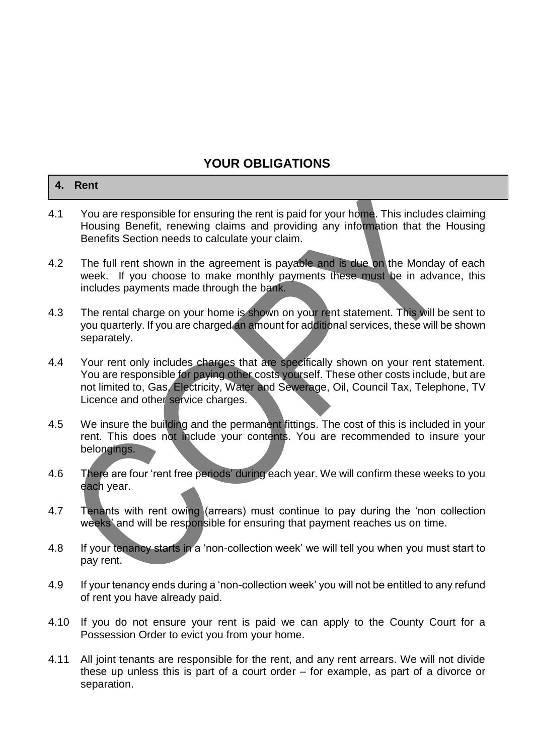# **YOUR OBLIGATIONS**

|     | 4. Rent                                                                                                                                                                                                                       |
|-----|-------------------------------------------------------------------------------------------------------------------------------------------------------------------------------------------------------------------------------|
| 4.1 | You are responsible for ensuring the rent is paid for your home. This includes claiming<br>Housing Benefit, renewing claims and providing any information that the Housing<br>Benefits Section needs to calculate your claim. |

- 4.2 The full rent shown in the agreement is payable and is due on the Monday of each week. If you choose to make monthly payments these must be in advance, this includes payments made through the bank.
- 4.3 The rental charge on your home is shown on your rent statement. This will be sent to you quarterly. If you are charged an amount for additional services, these will be shown separately.
- 4.4 Your rent only includes charges that are specifically shown on your rent statement. You are responsible for paying other costs yourself. These other costs include, but are not limited to, Gas, Electricity, Water and Sewerage, Oil, Council Tax, Telephone, TV Licence and other service charges.
- 4.5 We insure the building and the permanent fittings. The cost of this is included in your rent. This does not include your contents. You are recommended to insure your belongings.
- 4.6 There are four 'rent free periods' during each year. We will confirm these weeks to you each year.
- 4.7 Tenants with rent owing (arrears) must continue to pay during the 'non collection weeks' and will be responsible for ensuring that payment reaches us on time.
- 4.8 If your tenancy starts in a 'non-collection week' we will tell you when you must start to pay rent.
- 4.9 If your tenancy ends during a 'non-collection week' you will not be entitled to any refund of rent you have already paid.
- 4.10 If you do not ensure your rent is paid we can apply to the County Court for a Possession Order to evict you from your home.
- 4.11 All joint tenants are responsible for the rent, and any rent arrears. We will not divide these up unless this is part of a court order – for example, as part of a divorce or separation.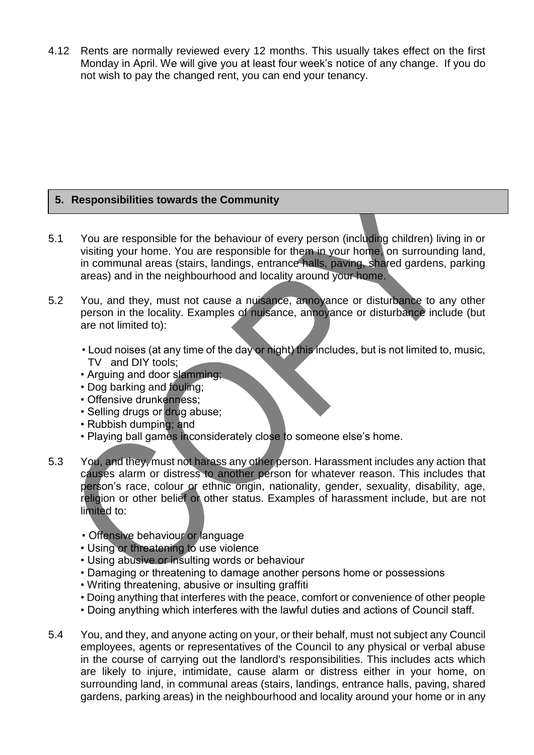4.12 Rents are normally reviewed every 12 months. This usually takes effect on the first Monday in April. We will give you at least four week's notice of any change. If you do not wish to pay the changed rent, you can end your tenancy.

# **5. Responsibilities towards the Community**

- 5.1 You are responsible for the behaviour of every person (including children) living in or visiting your home. You are responsible for them in your home, on surrounding land, in communal areas (stairs, landings, entrance halls, paving, shared gardens, parking areas) and in the neighbourhood and locality around your home.
- 5.2 You, and they, must not cause a nuisance, annoyance or disturbance to any other person in the locality. Examples of nuisance, annoyance or disturbance include (but are not limited to):
	- Loud noises (at any time of the day or night) this includes, but is not limited to, music, TV and DIY tools;
	- Arguing and door slamming;
	- Dog barking and fouling;
	- Offensive drunkenness;
	- Selling drugs or drug abuse;
	- Rubbish dumping; and
	- Playing ball games inconsiderately close to someone else's home.
- 5.3 You, and they, must not harass any other person. Harassment includes any action that causes alarm or distress to another person for whatever reason. This includes that person's race, colour or ethnic origin, nationality, gender, sexuality, disability, age, religion or other belief or other status. Examples of harassment include, but are not limited to:
	- Offensive behaviour or language
	- Using or threatening to use violence
	- Using abusive or insulting words or behaviour
	- Damaging or threatening to damage another persons home or possessions
	- Writing threatening, abusive or insulting graffiti
	- Doing anything that interferes with the peace, comfort or convenience of other people
	- Doing anything which interferes with the lawful duties and actions of Council staff.
- 5.4 You, and they, and anyone acting on your, or their behalf, must not subject any Council employees, agents or representatives of the Council to any physical or verbal abuse in the course of carrying out the landlord's responsibilities. This includes acts which are likely to injure, intimidate, cause alarm or distress either in your home, on surrounding land, in communal areas (stairs, landings, entrance halls, paving, shared gardens, parking areas) in the neighbourhood and locality around your home or in any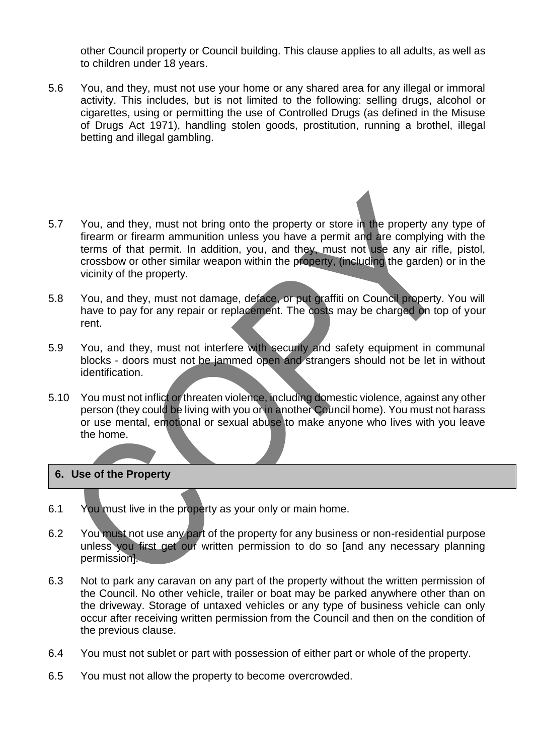other Council property or Council building. This clause applies to all adults, as well as to children under 18 years.

- 5.6 You, and they, must not use your home or any shared area for any illegal or immoral activity. This includes, but is not limited to the following: selling drugs, alcohol or cigarettes, using or permitting the use of Controlled Drugs (as defined in the Misuse of Drugs Act 1971), handling stolen goods, prostitution, running a brothel, illegal betting and illegal gambling.
- 5.7 You, and they, must not bring onto the property or store in the property any type of firearm or firearm ammunition unless you have a permit and are complying with the terms of that permit. In addition, you, and they, must not use any air rifle, pistol, crossbow or other similar weapon within the property, (including the garden) or in the vicinity of the property.
- 5.8 You, and they, must not damage, deface, or put graffiti on Council property. You will have to pay for any repair or replacement. The costs may be charged on top of your rent.
- 5.9 You, and they, must not interfere with security and safety equipment in communal blocks - doors must not be jammed open and strangers should not be let in without identification.
- 5.10 You must not inflict or threaten violence, including domestic violence, against any other person (they could be living with you or in another Council home). You must not harass or use mental, emotional or sexual abuse to make anyone who lives with you leave the home.

#### **6. Use of the Property**

- 6.1 You must live in the property as your only or main home.
- 6.2 You must not use any part of the property for any business or non-residential purpose unless you first get our written permission to do so [and any necessary planning permission].
- 6.3 Not to park any caravan on any part of the property without the written permission of the Council. No other vehicle, trailer or boat may be parked anywhere other than on the driveway. Storage of untaxed vehicles or any type of business vehicle can only occur after receiving written permission from the Council and then on the condition of the previous clause.
- 6.4 You must not sublet or part with possession of either part or whole of the property.
- 6.5 You must not allow the property to become overcrowded.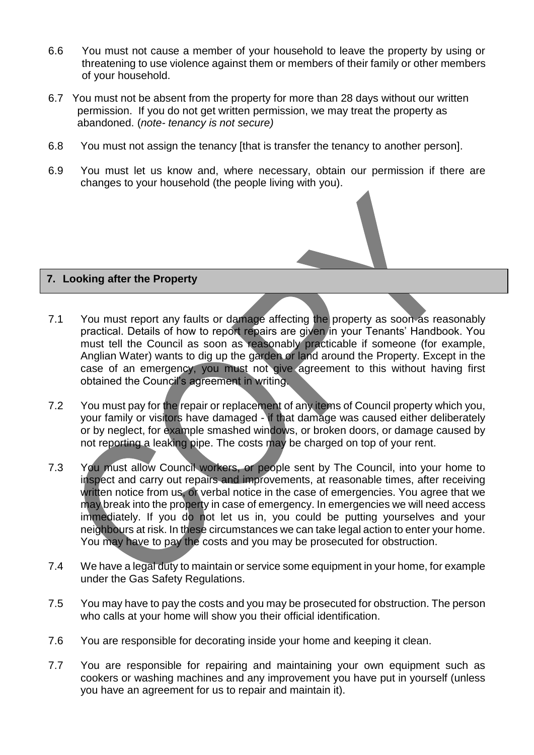- 6.6 You must not cause a member of your household to leave the property by using or threatening to use violence against them or members of their family or other members of your household.
- 6.7 You must not be absent from the property for more than 28 days without our written permission. If you do not get written permission, we may treat the property as abandoned. (*note- tenancy is not secure)*
- 6.8 You must not assign the tenancy [that is transfer the tenancy to another person].
- 6.9 You must let us know and, where necessary, obtain our permission if there are changes to your household (the people living with you).

#### **7. Looking after the Property**

- 7.1 You must report any faults or damage affecting the property as soon as reasonably practical. Details of how to report repairs are given in your Tenants' Handbook. You must tell the Council as soon as reasonably practicable if someone (for example, Anglian Water) wants to dig up the garden or land around the Property. Except in the case of an emergency, you must not give agreement to this without having first obtained the Council's agreement in writing.
- 7.2 You must pay for the repair or replacement of any items of Council property which you, your family or visitors have damaged - if that damage was caused either deliberately or by neglect, for example smashed windows, or broken doors, or damage caused by not reporting a leaking pipe. The costs may be charged on top of your rent.
- 7.3 You must allow Council workers, or people sent by The Council, into your home to inspect and carry out repairs and improvements, at reasonable times, after receiving written notice from us, or verbal notice in the case of emergencies. You agree that we may break into the property in case of emergency. In emergencies we will need access immediately. If you do not let us in, you could be putting yourselves and your neighbours at risk. In these circumstances we can take legal action to enter your home. You may have to pay the costs and you may be prosecuted for obstruction.
- 7.4 We have a legal duty to maintain or service some equipment in your home, for example under the Gas Safety Regulations.
- 7.5 You may have to pay the costs and you may be prosecuted for obstruction. The person who calls at your home will show you their official identification.
- 7.6 You are responsible for decorating inside your home and keeping it clean.
- 7.7 You are responsible for repairing and maintaining your own equipment such as cookers or washing machines and any improvement you have put in yourself (unless you have an agreement for us to repair and maintain it).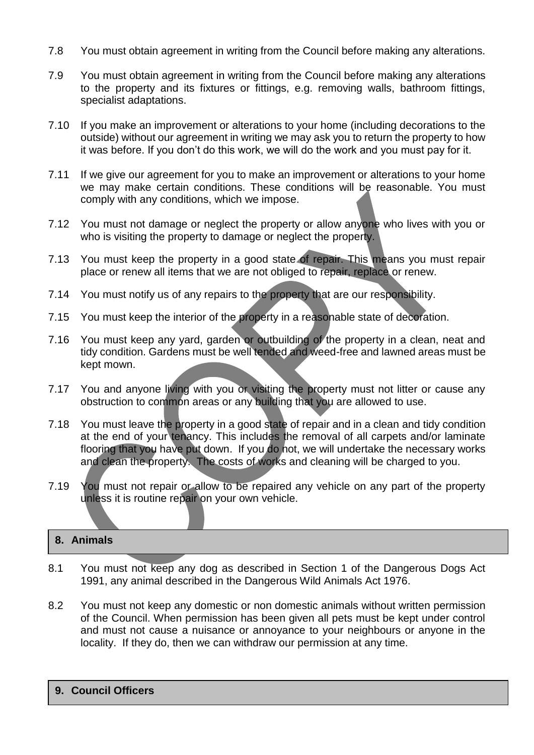- 7.8 You must obtain agreement in writing from the Council before making any alterations.
- 7.9 You must obtain agreement in writing from the Council before making any alterations to the property and its fixtures or fittings, e.g. removing walls, bathroom fittings, specialist adaptations.
- 7.10 If you make an improvement or alterations to your home (including decorations to the outside) without our agreement in writing we may ask you to return the property to how it was before. If you don't do this work, we will do the work and you must pay for it.
- 7.11 If we give our agreement for you to make an improvement or alterations to your home we may make certain conditions. These conditions will be reasonable. You must comply with any conditions, which we impose.
- 7.12 You must not damage or neglect the property or allow anyone who lives with you or who is visiting the property to damage or neglect the property.
- 7.13 You must keep the property in a good state of repair. This means you must repair place or renew all items that we are not obliged to repair, replace or renew.
- 7.14 You must notify us of any repairs to the property that are our responsibility.
- 7.15 You must keep the interior of the property in a reasonable state of decoration.
- 7.16 You must keep any vard, garden or outbuilding of the property in a clean, neat and tidy condition. Gardens must be well tended and weed-free and lawned areas must be kept mown.
- 7.17 You and anyone living with you or visiting the property must not litter or cause any obstruction to common areas or any building that you are allowed to use.
- 7.18 You must leave the property in a good state of repair and in a clean and tidy condition at the end of your tenancy. This includes the removal of all carpets and/or laminate flooring that you have put down. If you do not, we will undertake the necessary works and clean the property. The costs of works and cleaning will be charged to you.
- 7.19 You must not repair or allow to be repaired any vehicle on any part of the property unless it is routine repair on your own vehicle.

# **8. Animals**

- 8.1 You must not keep any dog as described in Section 1 of the Dangerous Dogs Act 1991, any animal described in the Dangerous Wild Animals Act 1976.
- 8.2 You must not keep any domestic or non domestic animals without written permission of the Council. When permission has been given all pets must be kept under control and must not cause a nuisance or annoyance to your neighbours or anyone in the locality. If they do, then we can withdraw our permission at any time.

#### **9. Council Officers**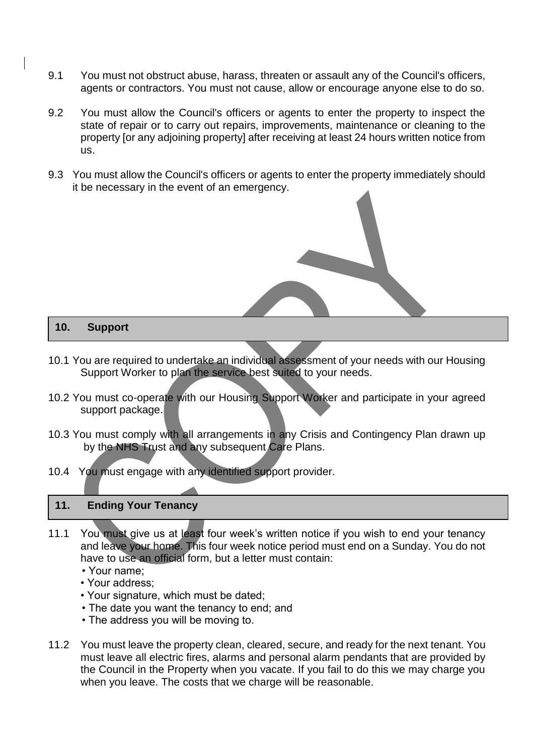- 9.1 You must not obstruct abuse, harass, threaten or assault any of the Council's officers, agents or contractors. You must not cause, allow or encourage anyone else to do so.
- 9.2 You must allow the Council's officers or agents to enter the property to inspect the state of repair or to carry out repairs, improvements, maintenance or cleaning to the property [or any adjoining property] after receiving at least 24 hours written notice from us.
- 9.3 You must allow the Council's officers or agents to enter the property immediately should it be necessary in the event of an emergency.

#### **10. Support**

- 10.1 You are required to undertake an individual assessment of your needs with our Housing Support Worker to plan the service best suited to your needs.
- 10.2 You must co-operate with our Housing Support Worker and participate in your agreed support package.
- 10.3 You must comply with all arrangements in any Crisis and Contingency Plan drawn up by the NHS Trust and any subsequent Care Plans.
- 10.4 You must engage with any identified support provider.

# **11. Ending Your Tenancy**

- 11.1 You must give us at least four week's written notice if you wish to end your tenancy and leave your home. This four week notice period must end on a Sunday. You do not have to use an official form, but a letter must contain:
	- Your name;
	- Your address;
	- Your signature, which must be dated;
	- The date you want the tenancy to end; and
	- The address you will be moving to.
- 11.2 You must leave the property clean, cleared, secure, and ready for the next tenant. You must leave all electric fires, alarms and personal alarm pendants that are provided by the Council in the Property when you vacate. If you fail to do this we may charge you when you leave. The costs that we charge will be reasonable.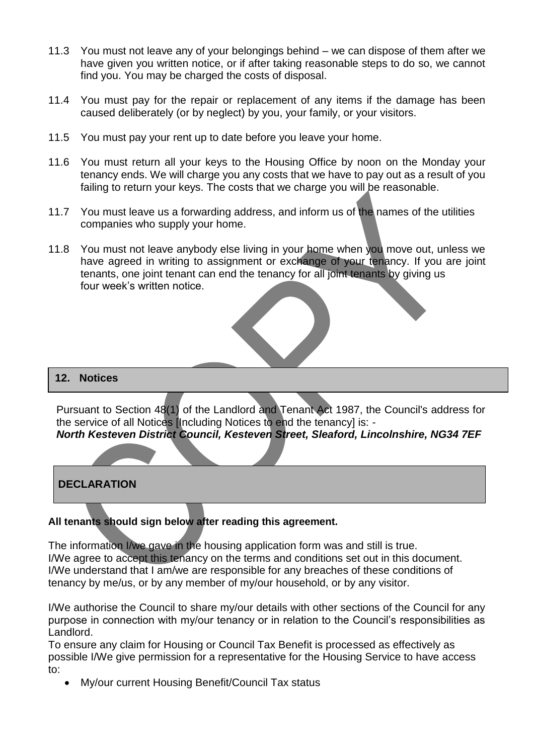- 11.3 You must not leave any of your belongings behind we can dispose of them after we have given you written notice, or if after taking reasonable steps to do so, we cannot find you. You may be charged the costs of disposal.
- 11.4 You must pay for the repair or replacement of any items if the damage has been caused deliberately (or by neglect) by you, your family, or your visitors.
- 11.5 You must pay your rent up to date before you leave your home.
- 11.6 You must return all your keys to the Housing Office by noon on the Monday your tenancy ends. We will charge you any costs that we have to pay out as a result of you failing to return your keys. The costs that we charge you will be reasonable.
- 11.7 You must leave us a forwarding address, and inform us of the names of the utilities companies who supply your home.
- 11.8 You must not leave anybody else living in your home when you move out, unless we have agreed in writing to assignment or exchange of your tenancy. If you are joint tenants, one joint tenant can end the tenancy for all joint tenants by giving us four week's written notice.



Pursuant to Section 48(1) of the Landlord and Tenant Act 1987, the Council's address for the service of all Notices [Including Notices to end the tenancy] is: - *North Kesteven District Council, Kesteven Street, Sleaford, Lincolnshire, NG34 7EF*

# **DECLARATION**

#### **All tenants should sign below after reading this agreement.**

The information I/we gave in the housing application form was and still is true. I/We agree to accept this tenancy on the terms and conditions set out in this document. I/We understand that I am/we are responsible for any breaches of these conditions of tenancy by me/us, or by any member of my/our household, or by any visitor.

I/We authorise the Council to share my/our details with other sections of the Council for any purpose in connection with my/our tenancy or in relation to the Council's responsibilities as Landlord.

To ensure any claim for Housing or Council Tax Benefit is processed as effectively as possible I/We give permission for a representative for the Housing Service to have access to:

My/our current Housing Benefit/Council Tax status